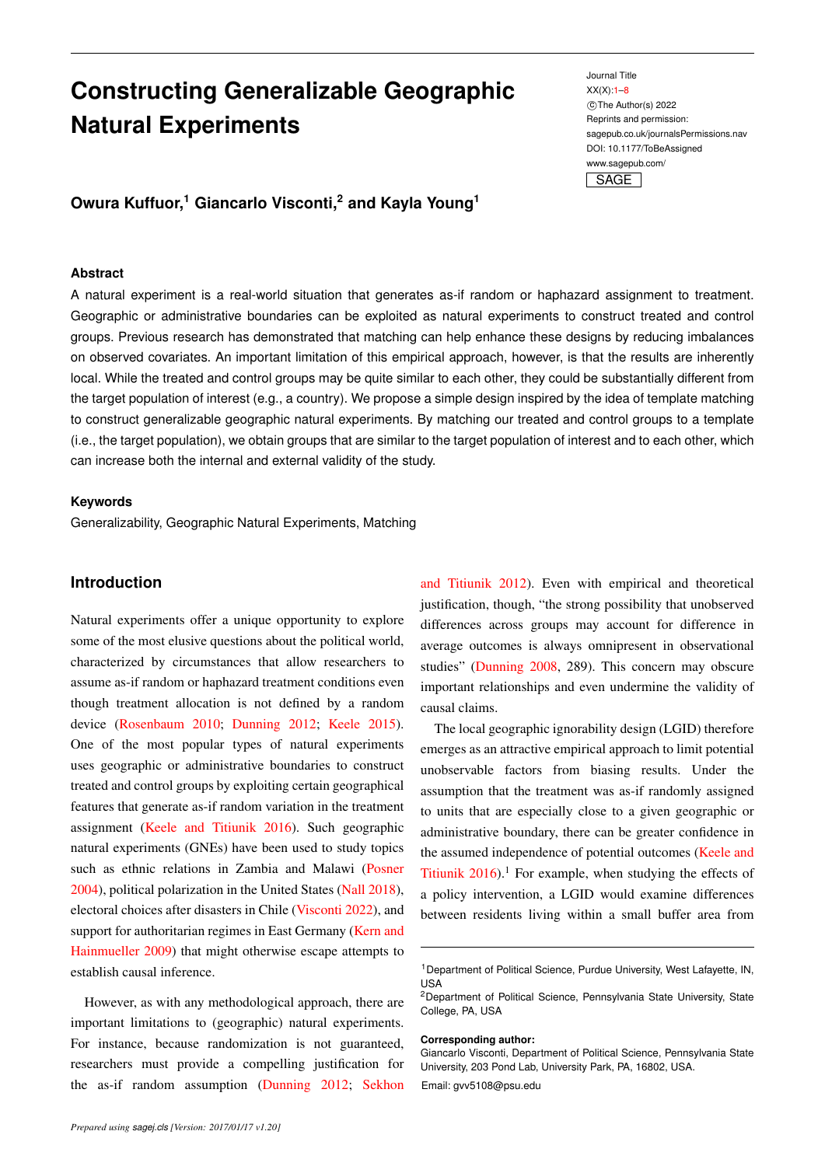# **Constructing Generalizable Geographic Natural Experiments**

Journal Title  $XX(X):1-8$  $XX(X):1-8$  c The Author(s) 2022 Reprints and permission: sagepub.co.uk/journalsPermissions.nav DOI: 10.1177/ToBeAssigned www.sagepub.com/



**Owura Kuffuor,<sup>1</sup> Giancarlo Visconti,<sup>2</sup> and Kayla Young<sup>1</sup>**

## <span id="page-0-0"></span>**Abstract**

A natural experiment is a real-world situation that generates as-if random or haphazard assignment to treatment. Geographic or administrative boundaries can be exploited as natural experiments to construct treated and control groups. Previous research has demonstrated that matching can help enhance these designs by reducing imbalances on observed covariates. An important limitation of this empirical approach, however, is that the results are inherently local. While the treated and control groups may be quite similar to each other, they could be substantially different from the target population of interest (e.g., a country). We propose a simple design inspired by the idea of template matching to construct generalizable geographic natural experiments. By matching our treated and control groups to a template (i.e., the target population), we obtain groups that are similar to the target population of interest and to each other, which can increase both the internal and external validity of the study.

### **Keywords**

Generalizability, Geographic Natural Experiments, Matching

# **Introduction**

Natural experiments offer a unique opportunity to explore some of the most elusive questions about the political world, characterized by circumstances that allow researchers to assume as-if random or haphazard treatment conditions even though treatment allocation is not defined by a random device [\(Rosenbaum](#page-6-0) [2010;](#page-6-0) [Dunning](#page-6-1) [2012;](#page-6-1) [Keele](#page-6-2) [2015\)](#page-6-2). One of the most popular types of natural experiments uses geographic or administrative boundaries to construct treated and control groups by exploiting certain geographical features that generate as-if random variation in the treatment assignment [\(Keele and Titiunik](#page-6-3) [2016\)](#page-6-3). Such geographic natural experiments (GNEs) have been used to study topics such as ethnic relations in Zambia and Malawi [\(Posner](#page-6-4) [2004\)](#page-6-4), political polarization in the United States [\(Nall](#page-6-5) [2018\)](#page-6-5), electoral choices after disasters in Chile [\(Visconti](#page-6-6) [2022\)](#page-6-6), and support for authoritarian regimes in East Germany [\(Kern and](#page-6-7) [Hainmueller](#page-6-7) [2009\)](#page-6-7) that might otherwise escape attempts to establish causal inference.

However, as with any methodological approach, there are important limitations to (geographic) natural experiments. For instance, because randomization is not guaranteed, researchers must provide a compelling justification for the as-if random assumption [\(Dunning](#page-6-1) [2012;](#page-6-1) [Sekhon](#page-6-8)

[and Titiunik](#page-6-8) [2012\)](#page-6-8). Even with empirical and theoretical justification, though, "the strong possibility that unobserved differences across groups may account for difference in average outcomes is always omnipresent in observational studies" [\(Dunning](#page-6-9) [2008,](#page-6-9) 289). This concern may obscure important relationships and even undermine the validity of causal claims.

The local geographic ignorability design (LGID) therefore emerges as an attractive empirical approach to limit potential unobservable factors from biasing results. Under the assumption that the treatment was as-if randomly assigned to units that are especially close to a given geographic or administrative boundary, there can be greater confidence in the assumed independence of potential outcomes [\(Keele and](#page-6-3) [Titiunik](#page-6-3)  $2016$ .<sup>1</sup> For example, when studying the effects of a policy intervention, a LGID would examine differences between residents living within a small buffer area from

#### **Corresponding author:**

Giancarlo Visconti, Department of Political Science, Pennsylvania State University, 203 Pond Lab, University Park, PA, 16802, USA.

Email: gvv5108@psu.edu

<sup>1</sup>Department of Political Science, Purdue University, West Lafayette, IN, USA

<sup>2</sup>Department of Political Science, Pennsylvania State University, State College, PA, USA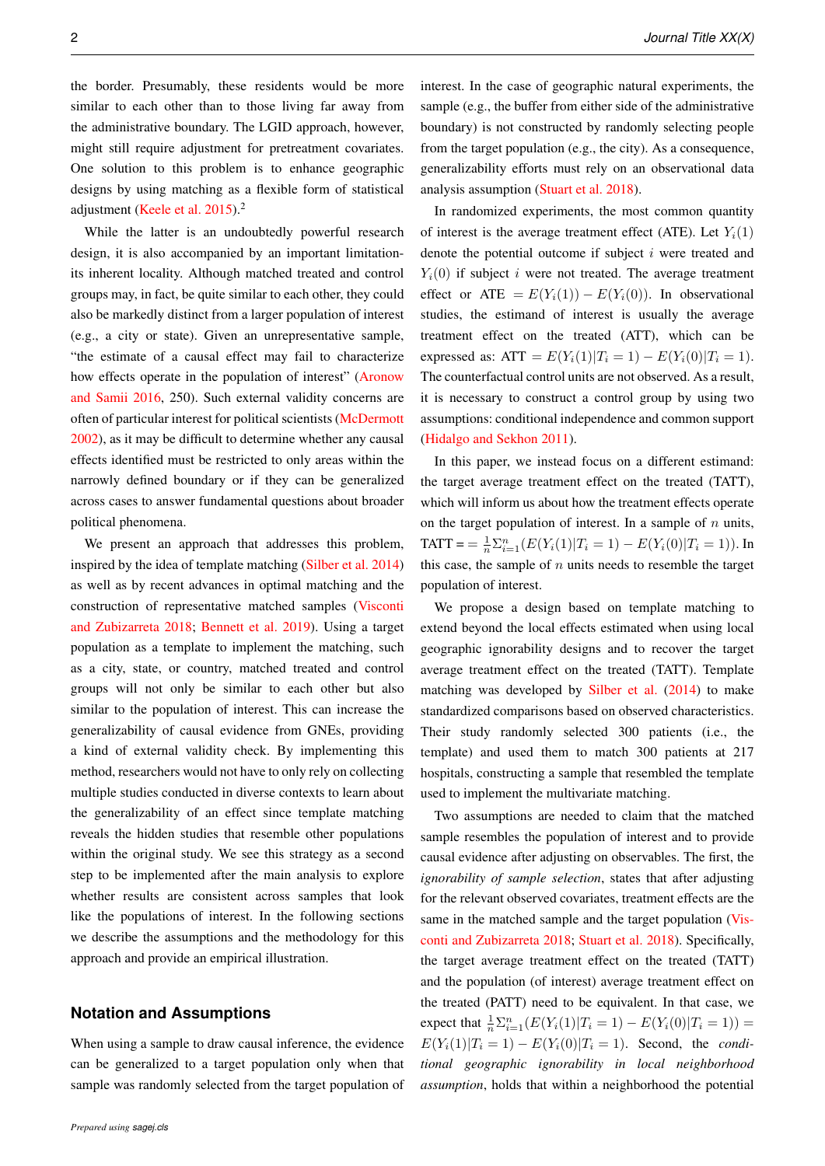the border. Presumably, these residents would be more similar to each other than to those living far away from the administrative boundary. The LGID approach, however, might still require adjustment for pretreatment covariates. One solution to this problem is to enhance geographic designs by using matching as a flexible form of statistical adjustment [\(Keele et al.](#page-6-10) [2015\)](#page-6-10).<sup>2</sup>

While the latter is an undoubtedly powerful research design, it is also accompanied by an important limitationits inherent locality. Although matched treated and control groups may, in fact, be quite similar to each other, they could also be markedly distinct from a larger population of interest (e.g., a city or state). Given an unrepresentative sample, "the estimate of a causal effect may fail to characterize how effects operate in the population of interest" [\(Aronow](#page-5-1) [and Samii](#page-5-1) [2016,](#page-5-1) 250). Such external validity concerns are often of particular interest for political scientists [\(McDermott](#page-6-11) [2002\)](#page-6-11), as it may be difficult to determine whether any causal effects identified must be restricted to only areas within the narrowly defined boundary or if they can be generalized across cases to answer fundamental questions about broader political phenomena.

We present an approach that addresses this problem, inspired by the idea of template matching [\(Silber et al.](#page-6-12) [2014\)](#page-6-12) as well as by recent advances in optimal matching and the construction of representative matched samples [\(Visconti](#page-7-0) [and Zubizarreta](#page-7-0) [2018;](#page-7-0) [Bennett et al.](#page-6-13) [2019\)](#page-6-13). Using a target population as a template to implement the matching, such as a city, state, or country, matched treated and control groups will not only be similar to each other but also similar to the population of interest. This can increase the generalizability of causal evidence from GNEs, providing a kind of external validity check. By implementing this method, researchers would not have to only rely on collecting multiple studies conducted in diverse contexts to learn about the generalizability of an effect since template matching reveals the hidden studies that resemble other populations within the original study. We see this strategy as a second step to be implemented after the main analysis to explore whether results are consistent across samples that look like the populations of interest. In the following sections we describe the assumptions and the methodology for this approach and provide an empirical illustration.

# **Notation and Assumptions**

When using a sample to draw causal inference, the evidence can be generalized to a target population only when that sample was randomly selected from the target population of interest. In the case of geographic natural experiments, the sample (e.g., the buffer from either side of the administrative boundary) is not constructed by randomly selecting people from the target population (e.g., the city). As a consequence, generalizability efforts must rely on an observational data analysis assumption [\(Stuart et al.](#page-6-14) [2018\)](#page-6-14).

In randomized experiments, the most common quantity of interest is the average treatment effect (ATE). Let  $Y_i(1)$ denote the potential outcome if subject  $i$  were treated and  $Y_i(0)$  if subject i were not treated. The average treatment effect or ATE =  $E(Y_i(1)) - E(Y_i(0))$ . In observational studies, the estimand of interest is usually the average treatment effect on the treated (ATT), which can be expressed as:  $ATT = E(Y_i(1)|T_i = 1) - E(Y_i(0)|T_i = 1)$ . The counterfactual control units are not observed. As a result, it is necessary to construct a control group by using two assumptions: conditional independence and common support [\(Hidalgo and Sekhon](#page-6-15) [2011\)](#page-6-15).

In this paper, we instead focus on a different estimand: the target average treatment effect on the treated (TATT), which will inform us about how the treatment effects operate on the target population of interest. In a sample of  $n$  units, TATT = =  $\frac{1}{n} \sum_{i=1}^{n} (E(Y_i(1)|T_i = 1) - E(Y_i(0)|T_i = 1)).$  In this case, the sample of  $n$  units needs to resemble the target population of interest.

We propose a design based on template matching to extend beyond the local effects estimated when using local geographic ignorability designs and to recover the target average treatment effect on the treated (TATT). Template matching was developed by [Silber et al.](#page-6-12) [\(2014\)](#page-6-12) to make standardized comparisons based on observed characteristics. Their study randomly selected 300 patients (i.e., the template) and used them to match 300 patients at 217 hospitals, constructing a sample that resembled the template used to implement the multivariate matching.

Two assumptions are needed to claim that the matched sample resembles the population of interest and to provide causal evidence after adjusting on observables. The first, the *ignorability of sample selection*, states that after adjusting for the relevant observed covariates, treatment effects are the same in the matched sample and the target population [\(Vis](#page-7-0)[conti and Zubizarreta](#page-7-0) [2018;](#page-7-0) [Stuart et al.](#page-6-14) [2018\)](#page-6-14). Specifically, the target average treatment effect on the treated (TATT) and the population (of interest) average treatment effect on the treated (PATT) need to be equivalent. In that case, we expect that  $\frac{1}{n} \sum_{i=1}^{n} (E(Y_i(1)|T_i = 1) - E(Y_i(0)|T_i = 1)) =$  $E(Y_i(1)|T_i = 1) - E(Y_i(0)|T_i = 1)$ . Second, the *conditional geographic ignorability in local neighborhood assumption*, holds that within a neighborhood the potential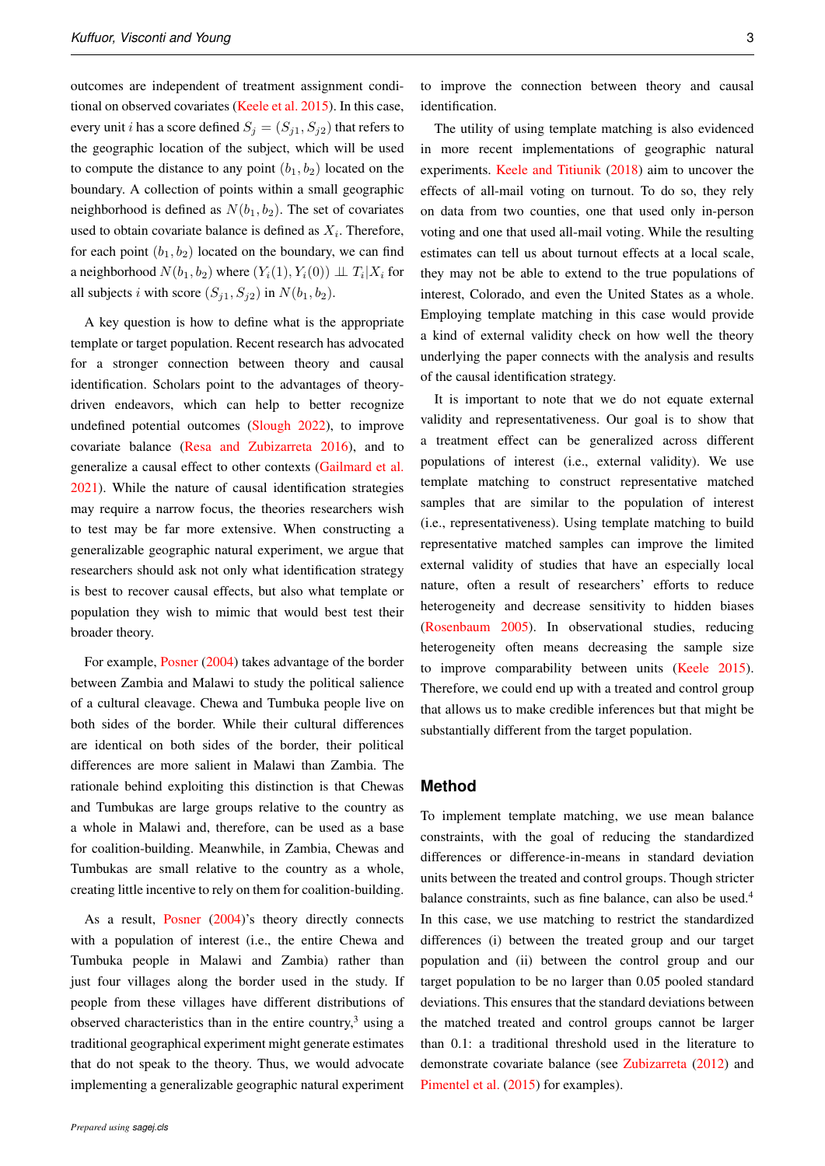outcomes are independent of treatment assignment conditional on observed covariates [\(Keele et al.](#page-6-10) [2015\)](#page-6-10). In this case, every unit *i* has a score defined  $S_j = (S_{j1}, S_{j2})$  that refers to the geographic location of the subject, which will be used to compute the distance to any point  $(b_1, b_2)$  located on the boundary. A collection of points within a small geographic neighborhood is defined as  $N(b_1, b_2)$ . The set of covariates used to obtain covariate balance is defined as  $X_i$ . Therefore, for each point  $(b_1, b_2)$  located on the boundary, we can find a neighborhood  $N(b_1, b_2)$  where  $(Y_i(1), Y_i(0)) \perp \!\!\! \perp T_i | X_i$  for all subjects i with score  $(S_{j1}, S_{j2})$  in  $N(b_1, b_2)$ .

A key question is how to define what is the appropriate template or target population. Recent research has advocated for a stronger connection between theory and causal identification. Scholars point to the advantages of theorydriven endeavors, which can help to better recognize undefined potential outcomes [\(Slough](#page-6-16) [2022\)](#page-6-16), to improve covariate balance [\(Resa and Zubizarreta](#page-6-17) [2016\)](#page-6-17), and to generalize a causal effect to other contexts [\(Gailmard et al.](#page-6-18) [2021\)](#page-6-18). While the nature of causal identification strategies may require a narrow focus, the theories researchers wish to test may be far more extensive. When constructing a generalizable geographic natural experiment, we argue that researchers should ask not only what identification strategy is best to recover causal effects, but also what template or population they wish to mimic that would best test their broader theory.

For example, [Posner](#page-6-4) [\(2004\)](#page-6-4) takes advantage of the border between Zambia and Malawi to study the political salience of a cultural cleavage. Chewa and Tumbuka people live on both sides of the border. While their cultural differences are identical on both sides of the border, their political differences are more salient in Malawi than Zambia. The rationale behind exploiting this distinction is that Chewas and Tumbukas are large groups relative to the country as a whole in Malawi and, therefore, can be used as a base for coalition-building. Meanwhile, in Zambia, Chewas and Tumbukas are small relative to the country as a whole, creating little incentive to rely on them for coalition-building.

As a result, [Posner](#page-6-4) [\(2004\)](#page-6-4)'s theory directly connects with a population of interest (i.e., the entire Chewa and Tumbuka people in Malawi and Zambia) rather than just four villages along the border used in the study. If people from these villages have different distributions of observed characteristics than in the entire country, $3$  using a traditional geographical experiment might generate estimates that do not speak to the theory. Thus, we would advocate implementing a generalizable geographic natural experiment

*Prepared using sagej.cls*

to improve the connection between theory and causal identification.

The utility of using template matching is also evidenced in more recent implementations of geographic natural experiments. [Keele and Titiunik](#page-6-19) [\(2018\)](#page-6-19) aim to uncover the effects of all-mail voting on turnout. To do so, they rely on data from two counties, one that used only in-person voting and one that used all-mail voting. While the resulting estimates can tell us about turnout effects at a local scale, they may not be able to extend to the true populations of interest, Colorado, and even the United States as a whole. Employing template matching in this case would provide a kind of external validity check on how well the theory underlying the paper connects with the analysis and results of the causal identification strategy.

It is important to note that we do not equate external validity and representativeness. Our goal is to show that a treatment effect can be generalized across different populations of interest (i.e., external validity). We use template matching to construct representative matched samples that are similar to the population of interest (i.e., representativeness). Using template matching to build representative matched samples can improve the limited external validity of studies that have an especially local nature, often a result of researchers' efforts to reduce heterogeneity and decrease sensitivity to hidden biases [\(Rosenbaum](#page-6-20) [2005\)](#page-6-20). In observational studies, reducing heterogeneity often means decreasing the sample size to improve comparability between units [\(Keele](#page-6-2) [2015\)](#page-6-2). Therefore, we could end up with a treated and control group that allows us to make credible inferences but that might be substantially different from the target population.

## **Method**

To implement template matching, we use mean balance constraints, with the goal of reducing the standardized differences or difference-in-means in standard deviation units between the treated and control groups. Though stricter balance constraints, such as fine balance, can also be used.<sup>4</sup> In this case, we use matching to restrict the standardized differences (i) between the treated group and our target population and (ii) between the control group and our target population to be no larger than 0.05 pooled standard deviations. This ensures that the standard deviations between the matched treated and control groups cannot be larger than 0.1: a traditional threshold used in the literature to demonstrate covariate balance (see [Zubizarreta](#page-7-1) [\(2012\)](#page-7-1) and [Pimentel et al.](#page-6-21) [\(2015\)](#page-6-21) for examples).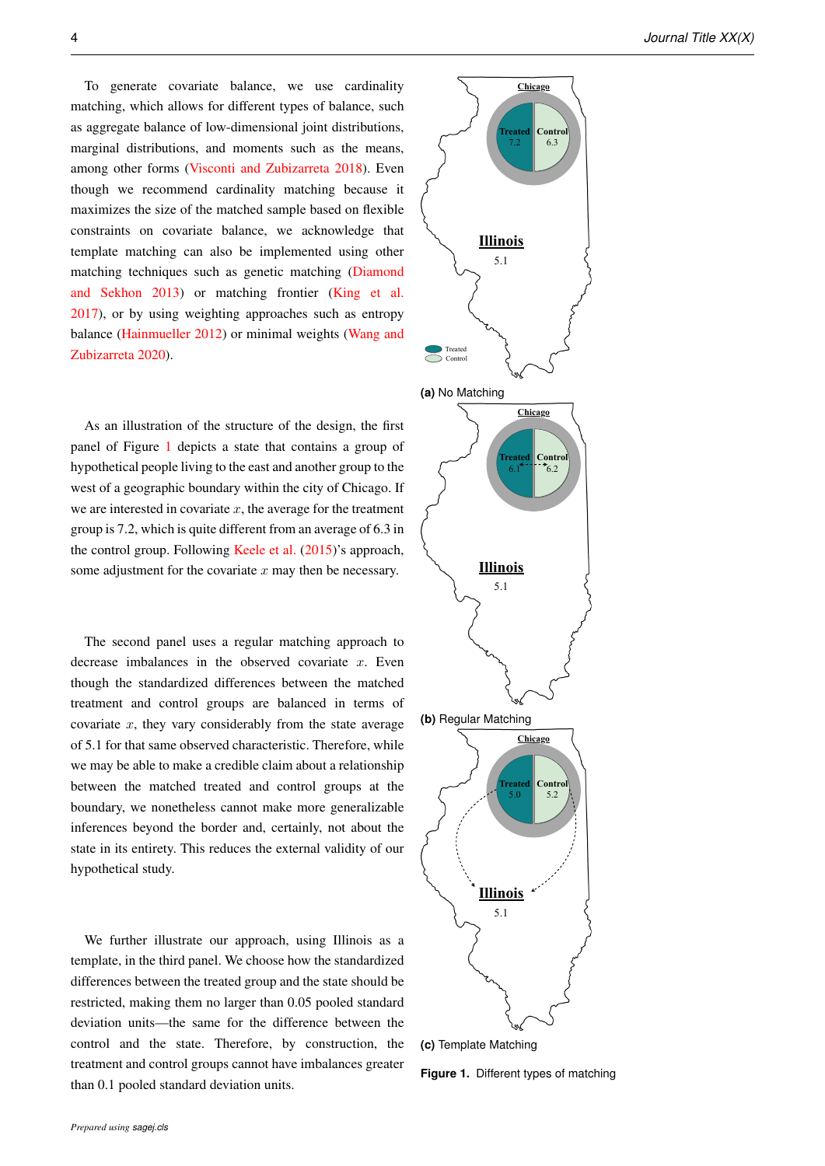To generate covariate balance, we use cardinality matching, which allows for different types of balance, such as aggregate balance of low-dimensional joint distributions, marginal distributions, and moments such as the means, among other forms [\(Visconti and Zubizarreta](#page-7-0) [2018\)](#page-7-0). Even though we recommend cardinality matching because it maximizes the size of the matched sample based on flexible constraints on covariate balance, we acknowledge that template matching can also be implemented using other matching techniques such as genetic matching [\(Diamond](#page-6-22) [and Sekhon](#page-6-22) [2013\)](#page-6-22) or matching frontier [\(King et al.](#page-6-23) [2017\)](#page-6-23), or by using weighting approaches such as entropy balance [\(Hainmueller](#page-6-24) [2012\)](#page-6-24) or minimal weights [\(Wang and](#page-7-2) [Zubizarreta](#page-7-2) [2020\)](#page-7-2).

As an illustration of the structure of the design, the first panel of Figure [1](#page-3-0) depicts a state that contains a group of hypothetical people living to the east and another group to the west of a geographic boundary within the city of Chicago. If we are interested in covariate  $x$ , the average for the treatment group is 7.2, which is quite different from an average of 6.3 in the control group. Following [Keele et al.](#page-6-10) [\(2015\)](#page-6-10)'s approach, some adjustment for the covariate  $x$  may then be necessary.

The second panel uses a regular matching approach to decrease imbalances in the observed covariate  $x$ . Even though the standardized differences between the matched treatment and control groups are balanced in terms of covariate  $x$ , they vary considerably from the state average of 5.1 for that same observed characteristic. Therefore, while we may be able to make a credible claim about a relationship between the matched treated and control groups at the boundary, we nonetheless cannot make more generalizable inferences beyond the border and, certainly, not about the state in its entirety. This reduces the external validity of our hypothetical study.

We further illustrate our approach, using Illinois as a template, in the third panel. We choose how the standardized differences between the treated group and the state should be restricted, making them no larger than 0.05 pooled standard deviation units—the same for the difference between the control and the state. Therefore, by construction, the treatment and control groups cannot have imbalances greater than 0.1 pooled standard deviation units.

<span id="page-3-0"></span>

**<sup>(</sup>c)** Template Matching

**Figure 1.** Different types of matching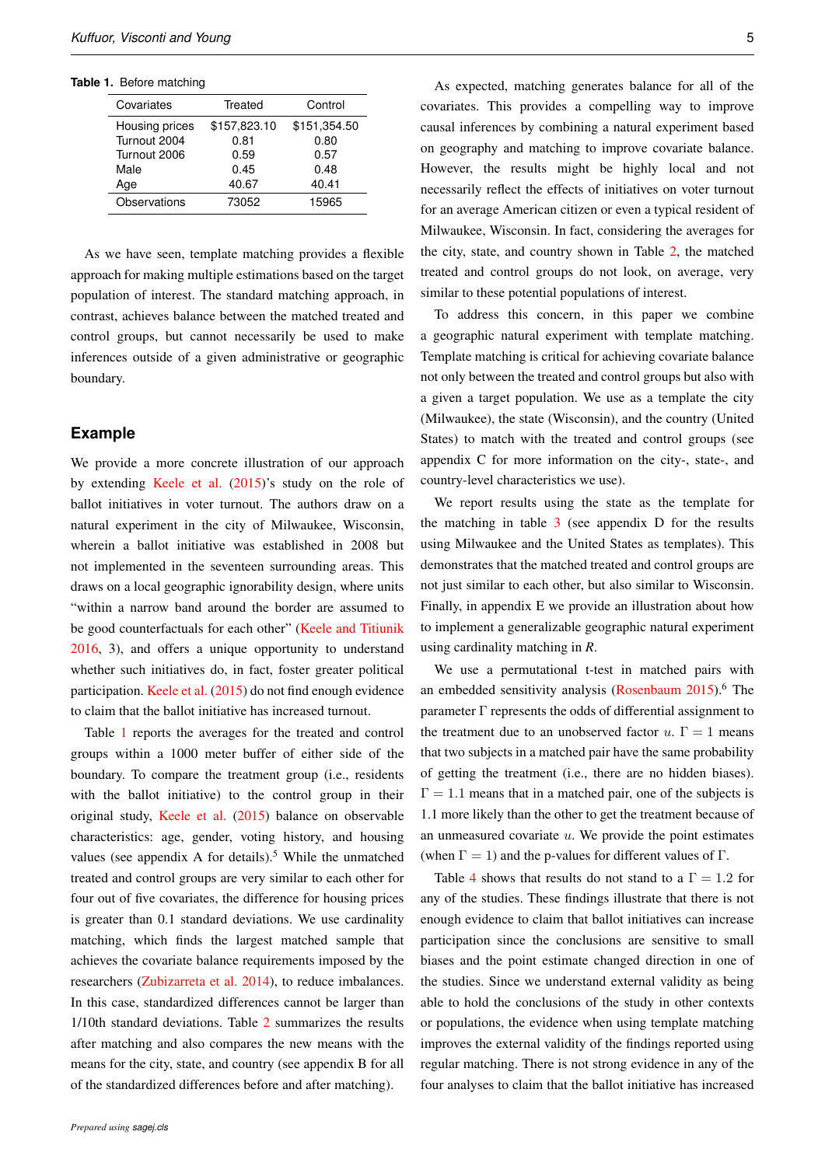<span id="page-4-0"></span>**Table 1.** Before matching

| Covariates     | Treated      | Control      |
|----------------|--------------|--------------|
| Housing prices | \$157,823.10 | \$151,354.50 |
| Turnout 2004   | 0.81         | 0.80         |
| Turnout 2006   | 0.59         | 0.57         |
| Male           | 0.45         | 0.48         |
| Age            | 40.67        | 40.41        |
| Observations   | 73052        | 15965        |

As we have seen, template matching provides a flexible approach for making multiple estimations based on the target population of interest. The standard matching approach, in contrast, achieves balance between the matched treated and control groups, but cannot necessarily be used to make inferences outside of a given administrative or geographic boundary.

# **Example**

We provide a more concrete illustration of our approach by extending [Keele et al.](#page-6-10) [\(2015\)](#page-6-10)'s study on the role of ballot initiatives in voter turnout. The authors draw on a natural experiment in the city of Milwaukee, Wisconsin, wherein a ballot initiative was established in 2008 but not implemented in the seventeen surrounding areas. This draws on a local geographic ignorability design, where units "within a narrow band around the border are assumed to be good counterfactuals for each other" [\(Keele and Titiunik](#page-6-3) [2016,](#page-6-3) 3), and offers a unique opportunity to understand whether such initiatives do, in fact, foster greater political participation. [Keele et al.](#page-6-10) [\(2015\)](#page-6-10) do not find enough evidence to claim that the ballot initiative has increased turnout.

Table [1](#page-4-0) reports the averages for the treated and control groups within a 1000 meter buffer of either side of the boundary. To compare the treatment group (i.e., residents with the ballot initiative) to the control group in their original study, [Keele et al.](#page-6-10) [\(2015\)](#page-6-10) balance on observable characteristics: age, gender, voting history, and housing values (see appendix A for details).<sup>5</sup> While the unmatched treated and control groups are very similar to each other for four out of five covariates, the difference for housing prices is greater than 0.1 standard deviations. We use cardinality matching, which finds the largest matched sample that achieves the covariate balance requirements imposed by the researchers [\(Zubizarreta et al.](#page-7-3) [2014\)](#page-7-3), to reduce imbalances. In this case, standardized differences cannot be larger than 1/10th standard deviations. Table [2](#page-5-2) summarizes the results after matching and also compares the new means with the means for the city, state, and country (see appendix B for all of the standardized differences before and after matching).

As expected, matching generates balance for all of the covariates. This provides a compelling way to improve causal inferences by combining a natural experiment based on geography and matching to improve covariate balance. However, the results might be highly local and not necessarily reflect the effects of initiatives on voter turnout for an average American citizen or even a typical resident of Milwaukee, Wisconsin. In fact, considering the averages for the city, state, and country shown in Table [2,](#page-5-2) the matched treated and control groups do not look, on average, very similar to these potential populations of interest.

To address this concern, in this paper we combine a geographic natural experiment with template matching. Template matching is critical for achieving covariate balance not only between the treated and control groups but also with a given a target population. We use as a template the city (Milwaukee), the state (Wisconsin), and the country (United States) to match with the treated and control groups (see appendix C for more information on the city-, state-, and country-level characteristics we use).

We report results using the state as the template for the matching in table  $3$  (see appendix D for the results using Milwaukee and the United States as templates). This demonstrates that the matched treated and control groups are not just similar to each other, but also similar to Wisconsin. Finally, in appendix E we provide an illustration about how to implement a generalizable geographic natural experiment using cardinality matching in *R*.

We use a permutational t-test in matched pairs with an embedded sensitivity analysis [\(Rosenbaum](#page-6-25)  $2015$ ).<sup>6</sup> The parameter  $\Gamma$  represents the odds of differential assignment to the treatment due to an unobserved factor u.  $\Gamma = 1$  means that two subjects in a matched pair have the same probability of getting the treatment (i.e., there are no hidden biases).  $\Gamma = 1.1$  means that in a matched pair, one of the subjects is 1.1 more likely than the other to get the treatment because of an unmeasured covariate  $u$ . We provide the point estimates (when  $\Gamma = 1$ ) and the p-values for different values of  $\Gamma$ .

Table [4](#page-6-26) shows that results do not stand to a  $\Gamma = 1.2$  for any of the studies. These findings illustrate that there is not enough evidence to claim that ballot initiatives can increase participation since the conclusions are sensitive to small biases and the point estimate changed direction in one of the studies. Since we understand external validity as being able to hold the conclusions of the study in other contexts or populations, the evidence when using template matching improves the external validity of the findings reported using regular matching. There is not strong evidence in any of the four analyses to claim that the ballot initiative has increased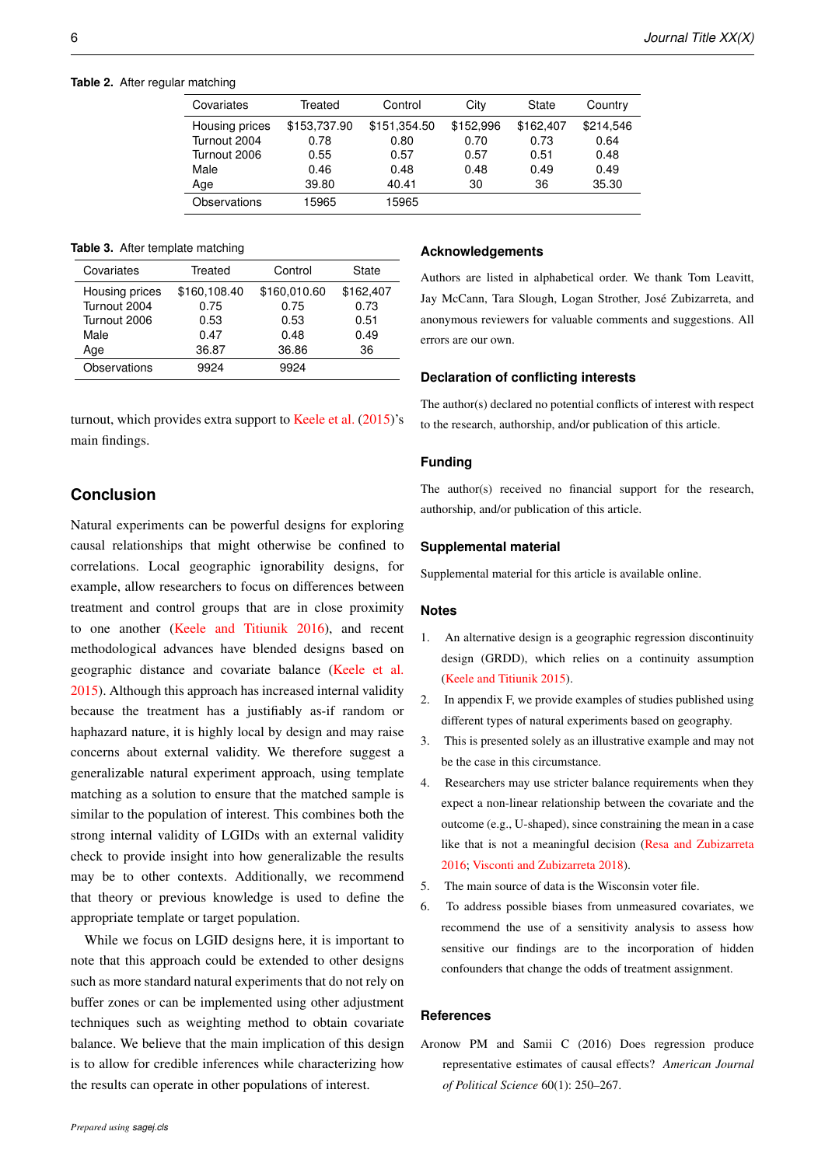### <span id="page-5-2"></span>**Table 2.** After regular matching

| Covariates     | Treated      | Control      | City      | State     | Country   |
|----------------|--------------|--------------|-----------|-----------|-----------|
| Housing prices | \$153,737.90 | \$151,354.50 | \$152,996 | \$162,407 | \$214,546 |
| Turnout 2004   | 0.78         | 0.80         | 0.70      | 0.73      | 0.64      |
| Turnout 2006   | 0.55         | 0.57         | 0.57      | 0.51      | 0.48      |
| Male           | 0.46         | 0.48         | 0.48      | 0.49      | 0.49      |
| Age            | 39.80        | 40.41        | 30        | 36        | 35.30     |
| Observations   | 15965        | 15965        |           |           |           |

<span id="page-5-3"></span>**Table 3.** After template matching

| Covariates     | Treated      | Control      | State     |
|----------------|--------------|--------------|-----------|
| Housing prices | \$160,108.40 | \$160,010.60 | \$162,407 |
| Turnout 2004   | 0.75         | 0.75         | 0.73      |
| Turnout 2006   | 0.53         | 0.53         | 0.51      |
| Male           | 0.47         | 0.48         | 0.49      |
| Age            | 36.87        | 36.86        | 36        |
| Observations   | 9924         | 9924         |           |

turnout, which provides extra support to [Keele et al.](#page-6-10) [\(2015\)](#page-6-10)'s main findings.

# **Conclusion**

Natural experiments can be powerful designs for exploring causal relationships that might otherwise be confined to correlations. Local geographic ignorability designs, for example, allow researchers to focus on differences between treatment and control groups that are in close proximity to one another [\(Keele and Titiunik](#page-6-3) [2016\)](#page-6-3), and recent methodological advances have blended designs based on geographic distance and covariate balance [\(Keele et al.](#page-6-10) [2015\)](#page-6-10). Although this approach has increased internal validity because the treatment has a justifiably as-if random or haphazard nature, it is highly local by design and may raise concerns about external validity. We therefore suggest a generalizable natural experiment approach, using template matching as a solution to ensure that the matched sample is similar to the population of interest. This combines both the strong internal validity of LGIDs with an external validity check to provide insight into how generalizable the results may be to other contexts. Additionally, we recommend that theory or previous knowledge is used to define the appropriate template or target population.

While we focus on LGID designs here, it is important to note that this approach could be extended to other designs such as more standard natural experiments that do not rely on buffer zones or can be implemented using other adjustment techniques such as weighting method to obtain covariate balance. We believe that the main implication of this design is to allow for credible inferences while characterizing how the results can operate in other populations of interest.

#### **Acknowledgements**

Authors are listed in alphabetical order. We thank Tom Leavitt, Jay McCann, Tara Slough, Logan Strother, Jose Zubizarreta, and ´ anonymous reviewers for valuable comments and suggestions. All errors are our own.

### **Declaration of conflicting interests**

The author(s) declared no potential conflicts of interest with respect to the research, authorship, and/or publication of this article.

# **Funding**

The author(s) received no financial support for the research, authorship, and/or publication of this article.

#### **Supplemental material**

Supplemental material for this article is available online.

#### **Notes**

- 1. An alternative design is a geographic regression discontinuity design (GRDD), which relies on a continuity assumption [\(Keele and Titiunik](#page-6-27) [2015\)](#page-6-27).
- 2. In appendix F, we provide examples of studies published using different types of natural experiments based on geography.
- 3. This is presented solely as an illustrative example and may not be the case in this circumstance.
- 4. Researchers may use stricter balance requirements when they expect a non-linear relationship between the covariate and the outcome (e.g., U-shaped), since constraining the mean in a case like that is not a meaningful decision [\(Resa and Zubizarreta](#page-6-17) [2016;](#page-6-17) [Visconti and Zubizarreta](#page-7-0) [2018\)](#page-7-0).
- 5. The main source of data is the Wisconsin voter file.
- 6. To address possible biases from unmeasured covariates, we recommend the use of a sensitivity analysis to assess how sensitive our findings are to the incorporation of hidden confounders that change the odds of treatment assignment.

#### <span id="page-5-0"></span>**References**

<span id="page-5-1"></span>Aronow PM and Samii C (2016) Does regression produce representative estimates of causal effects? *American Journal of Political Science* 60(1): 250–267.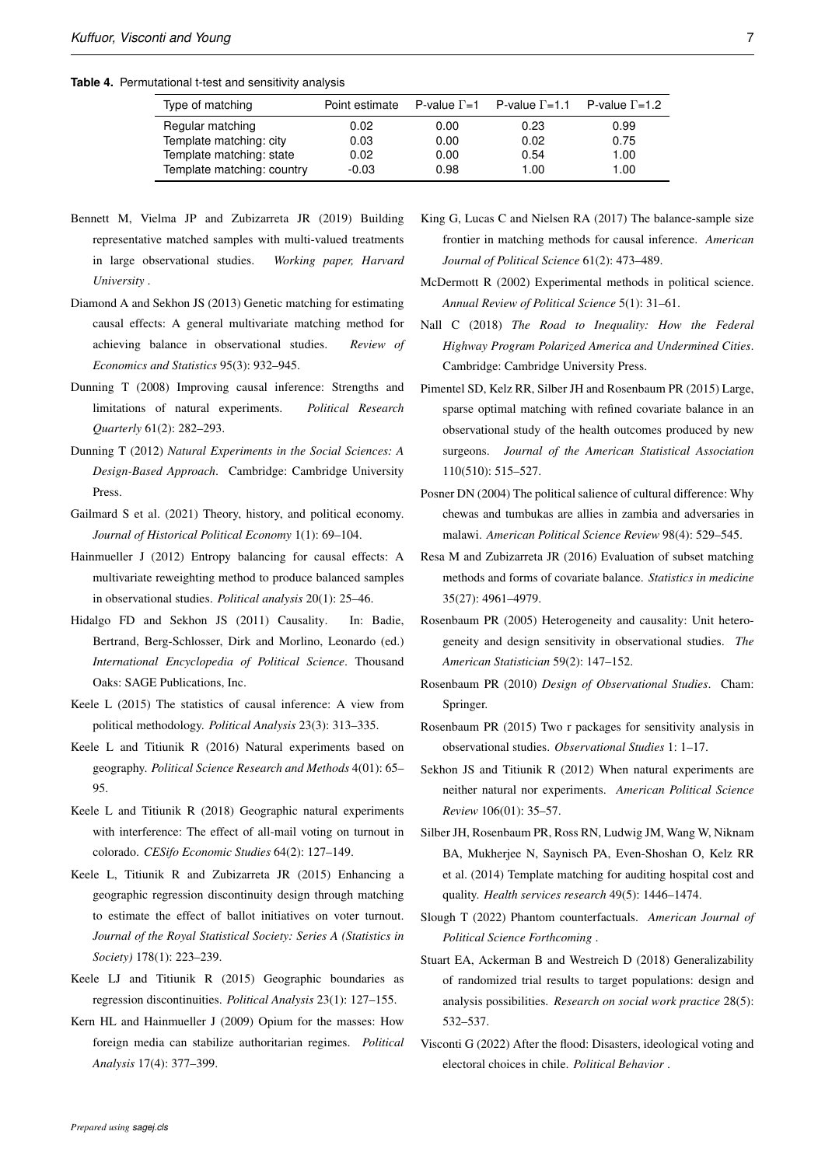<span id="page-6-26"></span>**Table 4.** Permutational t-test and sensitivity analysis

| Type of matching           | Point estimate | P-value $\Gamma$ =1 | P-value $\Gamma$ =1.1 | P-value $\Gamma$ =1.2 |
|----------------------------|----------------|---------------------|-----------------------|-----------------------|
| Regular matching           | 0.02           | 0.00                | 0.23                  | 0.99                  |
| Template matching: city    | 0.03           | 0.00                | 0.02                  | 0.75                  |
| Template matching: state   | 0.02           | 0.00                | 0.54                  | 1.00                  |
| Template matching: country | $-0.03$        | 0.98                | 1.00                  | 1.00                  |

- <span id="page-6-13"></span>Bennett M, Vielma JP and Zubizarreta JR (2019) Building representative matched samples with multi-valued treatments in large observational studies. *Working paper, Harvard University* .
- <span id="page-6-22"></span>Diamond A and Sekhon JS (2013) Genetic matching for estimating causal effects: A general multivariate matching method for achieving balance in observational studies. *Review of Economics and Statistics* 95(3): 932–945.
- <span id="page-6-9"></span>Dunning T (2008) Improving causal inference: Strengths and limitations of natural experiments. *Political Research Quarterly* 61(2): 282–293.
- <span id="page-6-1"></span>Dunning T (2012) *Natural Experiments in the Social Sciences: A Design-Based Approach*. Cambridge: Cambridge University Press.
- <span id="page-6-18"></span>Gailmard S et al. (2021) Theory, history, and political economy. *Journal of Historical Political Economy* 1(1): 69–104.
- <span id="page-6-24"></span>Hainmueller J (2012) Entropy balancing for causal effects: A multivariate reweighting method to produce balanced samples in observational studies. *Political analysis* 20(1): 25–46.
- <span id="page-6-15"></span>Hidalgo FD and Sekhon JS (2011) Causality. In: Badie, Bertrand, Berg-Schlosser, Dirk and Morlino, Leonardo (ed.) *International Encyclopedia of Political Science*. Thousand Oaks: SAGE Publications, Inc.
- <span id="page-6-2"></span>Keele L (2015) The statistics of causal inference: A view from political methodology. *Political Analysis* 23(3): 313–335.
- <span id="page-6-3"></span>Keele L and Titiunik R (2016) Natural experiments based on geography. *Political Science Research and Methods* 4(01): 65– 95.
- <span id="page-6-19"></span>Keele L and Titiunik R (2018) Geographic natural experiments with interference: The effect of all-mail voting on turnout in colorado. *CESifo Economic Studies* 64(2): 127–149.
- <span id="page-6-10"></span>Keele L, Titiunik R and Zubizarreta JR (2015) Enhancing a geographic regression discontinuity design through matching to estimate the effect of ballot initiatives on voter turnout. *Journal of the Royal Statistical Society: Series A (Statistics in Society)* 178(1): 223–239.
- <span id="page-6-27"></span>Keele LJ and Titiunik R (2015) Geographic boundaries as regression discontinuities. *Political Analysis* 23(1): 127–155.
- <span id="page-6-7"></span>Kern HL and Hainmueller J (2009) Opium for the masses: How foreign media can stabilize authoritarian regimes. *Political Analysis* 17(4): 377–399.
- <span id="page-6-23"></span>King G, Lucas C and Nielsen RA (2017) The balance-sample size frontier in matching methods for causal inference. *American Journal of Political Science* 61(2): 473–489.
- <span id="page-6-11"></span>McDermott R (2002) Experimental methods in political science. *Annual Review of Political Science* 5(1): 31–61.
- <span id="page-6-5"></span>Nall C (2018) *The Road to Inequality: How the Federal Highway Program Polarized America and Undermined Cities*. Cambridge: Cambridge University Press.
- <span id="page-6-21"></span>Pimentel SD, Kelz RR, Silber JH and Rosenbaum PR (2015) Large, sparse optimal matching with refined covariate balance in an observational study of the health outcomes produced by new surgeons. *Journal of the American Statistical Association* 110(510): 515–527.
- <span id="page-6-4"></span>Posner DN (2004) The political salience of cultural difference: Why chewas and tumbukas are allies in zambia and adversaries in malawi. *American Political Science Review* 98(4): 529–545.
- <span id="page-6-17"></span>Resa M and Zubizarreta JR (2016) Evaluation of subset matching methods and forms of covariate balance. *Statistics in medicine* 35(27): 4961–4979.
- <span id="page-6-20"></span>Rosenbaum PR (2005) Heterogeneity and causality: Unit heterogeneity and design sensitivity in observational studies. *The American Statistician* 59(2): 147–152.
- <span id="page-6-0"></span>Rosenbaum PR (2010) *Design of Observational Studies*. Cham: Springer.
- <span id="page-6-25"></span>Rosenbaum PR (2015) Two r packages for sensitivity analysis in observational studies. *Observational Studies* 1: 1–17.
- <span id="page-6-8"></span>Sekhon JS and Titiunik R (2012) When natural experiments are neither natural nor experiments. *American Political Science Review* 106(01): 35–57.
- <span id="page-6-12"></span>Silber JH, Rosenbaum PR, Ross RN, Ludwig JM, Wang W, Niknam BA, Mukherjee N, Saynisch PA, Even-Shoshan O, Kelz RR et al. (2014) Template matching for auditing hospital cost and quality. *Health services research* 49(5): 1446–1474.
- <span id="page-6-16"></span>Slough T (2022) Phantom counterfactuals. *American Journal of Political Science Forthcoming* .
- <span id="page-6-14"></span>Stuart EA, Ackerman B and Westreich D (2018) Generalizability of randomized trial results to target populations: design and analysis possibilities. *Research on social work practice* 28(5): 532–537.
- <span id="page-6-6"></span>Visconti G (2022) After the flood: Disasters, ideological voting and electoral choices in chile. *Political Behavior* .